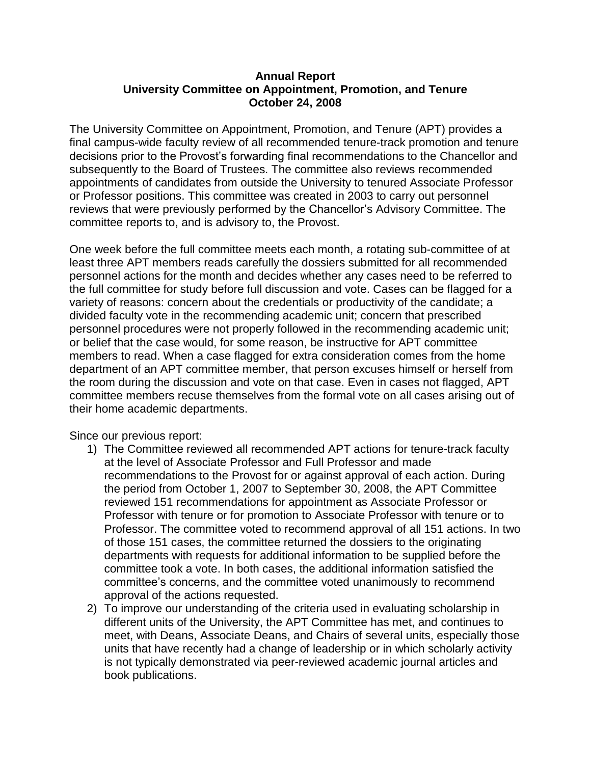## **Annual Report University Committee on Appointment, Promotion, and Tenure October 24, 2008**

The University Committee on Appointment, Promotion, and Tenure (APT) provides a final campus-wide faculty review of all recommended tenure-track promotion and tenure decisions prior to the Provost's forwarding final recommendations to the Chancellor and subsequently to the Board of Trustees. The committee also reviews recommended appointments of candidates from outside the University to tenured Associate Professor or Professor positions. This committee was created in 2003 to carry out personnel reviews that were previously performed by the Chancellor's Advisory Committee. The committee reports to, and is advisory to, the Provost.

One week before the full committee meets each month, a rotating sub-committee of at least three APT members reads carefully the dossiers submitted for all recommended personnel actions for the month and decides whether any cases need to be referred to the full committee for study before full discussion and vote. Cases can be flagged for a variety of reasons: concern about the credentials or productivity of the candidate; a divided faculty vote in the recommending academic unit; concern that prescribed personnel procedures were not properly followed in the recommending academic unit; or belief that the case would, for some reason, be instructive for APT committee members to read. When a case flagged for extra consideration comes from the home department of an APT committee member, that person excuses himself or herself from the room during the discussion and vote on that case. Even in cases not flagged, APT committee members recuse themselves from the formal vote on all cases arising out of their home academic departments.

Since our previous report:

- 1) The Committee reviewed all recommended APT actions for tenure-track faculty at the level of Associate Professor and Full Professor and made recommendations to the Provost for or against approval of each action. During the period from October 1, 2007 to September 30, 2008, the APT Committee reviewed 151 recommendations for appointment as Associate Professor or Professor with tenure or for promotion to Associate Professor with tenure or to Professor. The committee voted to recommend approval of all 151 actions. In two of those 151 cases, the committee returned the dossiers to the originating departments with requests for additional information to be supplied before the committee took a vote. In both cases, the additional information satisfied the committee's concerns, and the committee voted unanimously to recommend approval of the actions requested.
- 2) To improve our understanding of the criteria used in evaluating scholarship in different units of the University, the APT Committee has met, and continues to meet, with Deans, Associate Deans, and Chairs of several units, especially those units that have recently had a change of leadership or in which scholarly activity is not typically demonstrated via peer-reviewed academic journal articles and book publications.